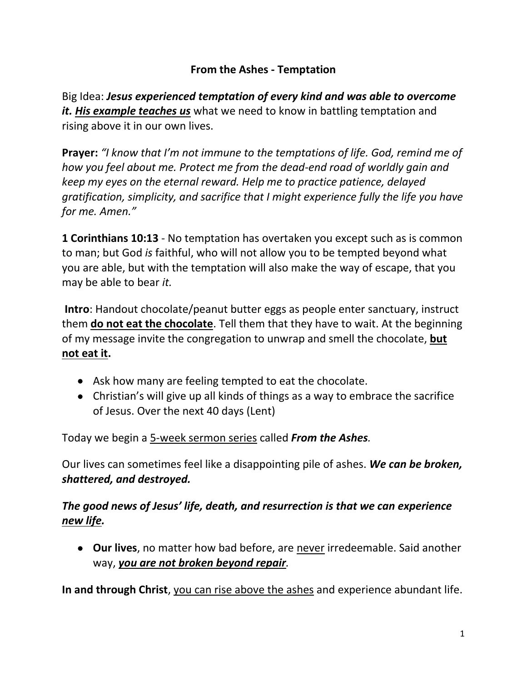### **From the Ashes - Temptation**

Big Idea: *Jesus experienced temptation of every kind and was able to overcome it. His example teaches us* what we need to know in battling temptation and rising above it in our own lives.

**Prayer:** *"I know that I'm not immune to the temptations of life. God, remind me of how you feel about me. Protect me from the dead-end road of worldly gain and keep my eyes on the eternal reward. Help me to practice patience, delayed gratification, simplicity, and sacrifice that I might experience fully the life you have for me. Amen."*

**1 Corinthians 10:13** - No temptation has overtaken you except such as is common to man; but God *is* faithful, who will not allow you to be tempted beyond what you are able, but with the temptation will also make the way of escape, that you may be able to bear *it.*

**Intro**: Handout chocolate/peanut butter eggs as people enter sanctuary, instruct them **do not eat the chocolate**. Tell them that they have to wait. At the beginning of my message invite the congregation to unwrap and smell the chocolate, **but not eat it.** 

- Ask how many are feeling tempted to eat the chocolate.
- Christian's will give up all kinds of things as a way to embrace the sacrifice of Jesus. Over the next 40 days (Lent)

Today we begin a 5-week sermon series called *From the Ashes.* 

Our lives can sometimes feel like a disappointing pile of ashes. *We can be broken, shattered, and destroyed.*

### *The good news of Jesus' life, death, and resurrection is that we can experience new life.*

• **Our lives**, no matter how bad before, are never irredeemable. Said another way, *you are not broken beyond repair.*

**In and through Christ**, you can rise above the ashes and experience abundant life.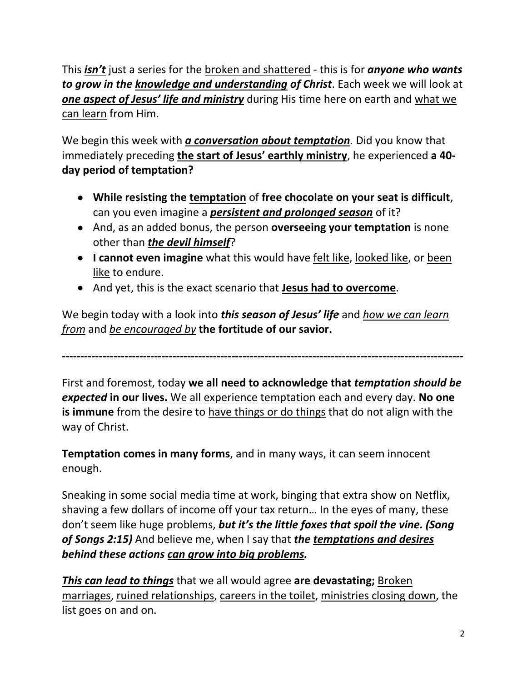This *isn't* just a series for the broken and shattered - this is for *anyone who wants to grow in the knowledge and understanding of Christ*. Each week we will look at *one aspect of Jesus' life and ministry* during His time here on earth and what we can learn from Him.

We begin this week with *a conversation about temptation.* Did you know that immediately preceding **the start of Jesus' earthly ministry**, he experienced **a 40 day period of temptation?**

- **While resisting the temptation** of **free chocolate on your seat is difficult**, can you even imagine a *persistent and prolonged season* of it?
- And, as an added bonus, the person **overseeing your temptation** is none other than *the devil himself*?
- **I cannot even imagine** what this would have felt like, looked like, or been like to endure.
- And yet, this is the exact scenario that **Jesus had to overcome**.

We begin today with a look into *this season of Jesus' life* and *how we can learn from* and *be encouraged by* **the fortitude of our savior.**

First and foremost, today **we all need to acknowledge that** *temptation should be expected* **in our lives.** We all experience temptation each and every day. **No one is immune** from the desire to have things or do things that do not align with the way of Christ.

**-------------------------------------------------------------------------------------------------------------**

**Temptation comes in many forms**, and in many ways, it can seem innocent enough.

Sneaking in some social media time at work, binging that extra show on Netflix, shaving a few dollars of income off your tax return… In the eyes of many, these don't seem like huge problems, *but it's the little foxes that spoil the vine. (Song of Songs 2:15)* And believe me, when I say that *the temptations and desires behind these actions can grow into big problems.*

*This can lead to things* that we all would agree **are devastating;** Broken marriages, ruined relationships, careers in the toilet, ministries closing down, the list goes on and on.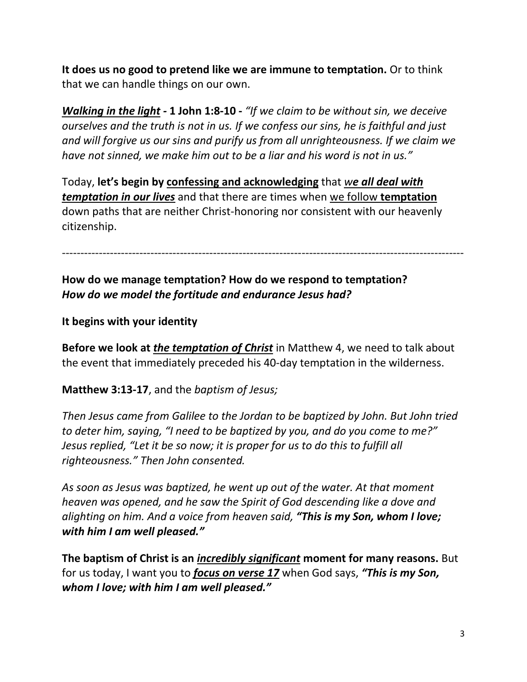**It does us no good to pretend like we are immune to temptation.** Or to think that we can handle things on our own.

*Walking in the light -* **1 John 1:8-10 -** *"If we claim to be without sin, we deceive ourselves and the truth is not in us. If we confess our sins, he is faithful and just and will forgive us our sins and purify us from all unrighteousness. If we claim we have not sinned, we make him out to be a liar and his word is not in us."*

Today, **let's begin by confessing and acknowledging** that *we all deal with temptation in our lives* and that there are times when we follow **temptation** down paths that are neither Christ-honoring nor consistent with our heavenly citizenship.

-------------------------------------------------------------------------------------------------------------

**How do we manage temptation? How do we respond to temptation?** *How do we model the fortitude and endurance Jesus had?*

**It begins with your identity**

**Before we look at** *the temptation of Christ* in Matthew 4, we need to talk about the event that immediately preceded his 40-day temptation in the wilderness.

**Matthew 3:13-17**, and the *baptism of Jesus;*

*Then Jesus came from Galilee to the Jordan to be baptized by John. But John tried to deter him, saying, "I need to be baptized by you, and do you come to me?" Jesus replied, "Let it be so now; it is proper for us to do this to fulfill all righteousness." Then John consented.*

*As soon as Jesus was baptized, he went up out of the water. At that moment heaven was opened, and he saw the Spirit of God descending like a dove and alighting on him. And a voice from heaven said, "This is my Son, whom I love; with him I am well pleased."*

**The baptism of Christ is an** *incredibly significant* **moment for many reasons.** But for us today, I want you to *focus on verse 17* when God says, *"This is my Son, whom I love; with him I am well pleased."*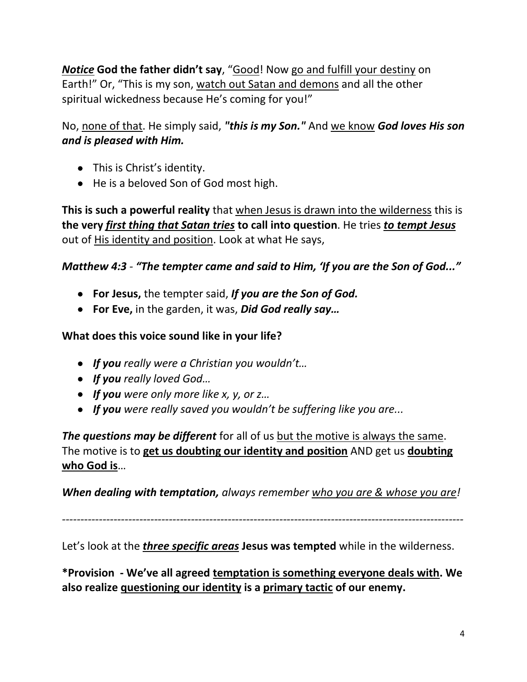*Notice* **God the father didn't say**, "Good! Now go and fulfill your destiny on Earth!" Or, "This is my son, watch out Satan and demons and all the other spiritual wickedness because He's coming for you!"

No, none of that. He simply said, *"this is my Son."* And we know *God loves His son and is pleased with Him.*

- This is Christ's identity.
- He is a beloved Son of God most high.

**This is such a powerful reality** that when Jesus is drawn into the wilderness this is **the very** *first thing that Satan tries* **to call into question**. He tries *to tempt Jesus* out of His identity and position. Look at what He says,

### *Matthew 4:3 - "The tempter came and said to Him, 'If you are the Son of God..."*

- **For Jesus,** the tempter said, *If you are the Son of God.*
- **For Eve,** in the garden, it was, *Did God really say…*

#### **What does this voice sound like in your life?**

- *If you really were a Christian you wouldn't…*
- *If you really loved God…*
- *If you were only more like x, y, or z…*
- *If you were really saved you wouldn't be suffering like you are...*

*The questions may be different* for all of us but the motive is always the same. The motive is to **get us doubting our identity and position** AND get us **doubting who God is**…

*When dealing with temptation, always remember who you are & whose you are!*

*-------------------------------------------------------------------------------------------------------------*

Let's look at the *three specific areas* **Jesus was tempted** while in the wilderness.

**\*Provision - We've all agreed temptation is something everyone deals with. We also realize questioning our identity is a primary tactic of our enemy.**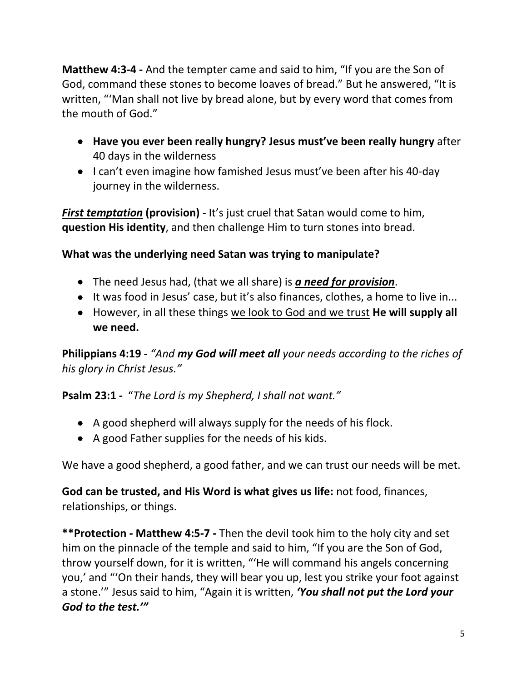**Matthew 4:3-4 -** And the tempter came and said to him, "If you are the Son of God, command these stones to become loaves of bread." But he answered, "It is written, "'Man shall not live by bread alone, but by every word that comes from the mouth of God."

- **Have you ever been really hungry? Jesus must've been really hungry** after 40 days in the wilderness
- I can't even imagine how famished Jesus must've been after his 40-day journey in the wilderness.

*First temptation* **(provision) -** It's just cruel that Satan would come to him, **question His identity**, and then challenge Him to turn stones into bread.

### **What was the underlying need Satan was trying to manipulate?**

- The need Jesus had, (that we all share) is *a need for provision*.
- It was food in Jesus' case, but it's also finances, clothes, a home to live in...
- However, in all these things we look to God and we trust **He will supply all we need.**

**Philippians 4:19 -** *"And my God will meet all your needs according to the riches of his glory in Christ Jesus."*

#### **Psalm 23:1 -** "*The Lord is my Shepherd, I shall not want."*

- A good shepherd will always supply for the needs of his flock.
- A good Father supplies for the needs of his kids.

We have a good shepherd, a good father, and we can trust our needs will be met.

**God can be trusted, and His Word is what gives us life:** not food, finances, relationships, or things.

**\*\*Protection - Matthew 4:5-7 -** Then the devil took him to the holy city and set him on the pinnacle of the temple and said to him, "If you are the Son of God, throw yourself down, for it is written, "'He will command his angels concerning you,' and "'On their hands, they will bear you up, lest you strike your foot against a stone.'" Jesus said to him, "Again it is written, *'You shall not put the Lord your God to the test.'"*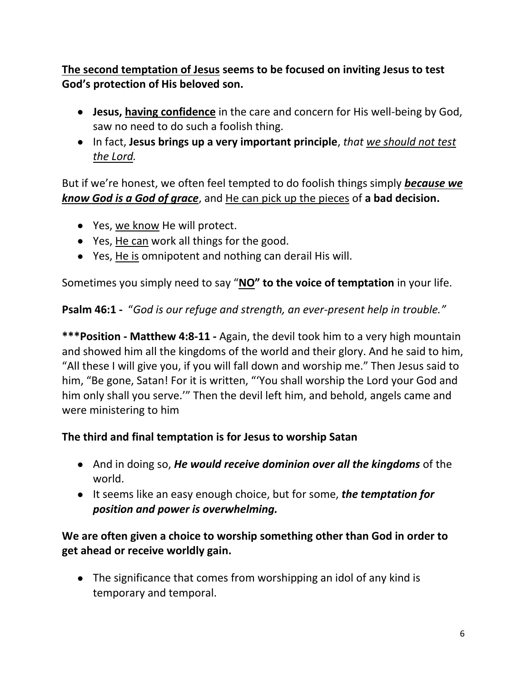# **The second temptation of Jesus seems to be focused on inviting Jesus to test God's protection of His beloved son.**

- **Jesus, having confidence** in the care and concern for His well-being by God, saw no need to do such a foolish thing.
- In fact, **Jesus brings up a very important principle**, *that we should not test the Lord.*

But if we're honest, we often feel tempted to do foolish things simply *because we know God is a God of grace*, and He can pick up the pieces of **a bad decision.**

- Yes, we know He will protect.
- Yes, He can work all things for the good.
- Yes, He is omnipotent and nothing can derail His will.

Sometimes you simply need to say "**NO" to the voice of temptation** in your life.

# **Psalm 46:1 -** "*God is our refuge and strength, an ever-present help in trouble."*

**\*\*\*Position - Matthew 4:8-11 -** Again, the devil took him to a very high mountain and showed him all the kingdoms of the world and their glory. And he said to him, "All these I will give you, if you will fall down and worship me." Then Jesus said to him, "Be gone, Satan! For it is written, "'You shall worship the Lord your God and him only shall you serve.'" Then the devil left him, and behold, angels came and were ministering to him

# **The third and final temptation is for Jesus to worship Satan**

- And in doing so, *He would receive dominion over all the kingdoms* of the world.
- It seems like an easy enough choice, but for some, *the temptation for position and power is overwhelming.*

# **We are often given a choice to worship something other than God in order to get ahead or receive worldly gain.**

• The significance that comes from worshipping an idol of any kind is temporary and temporal.